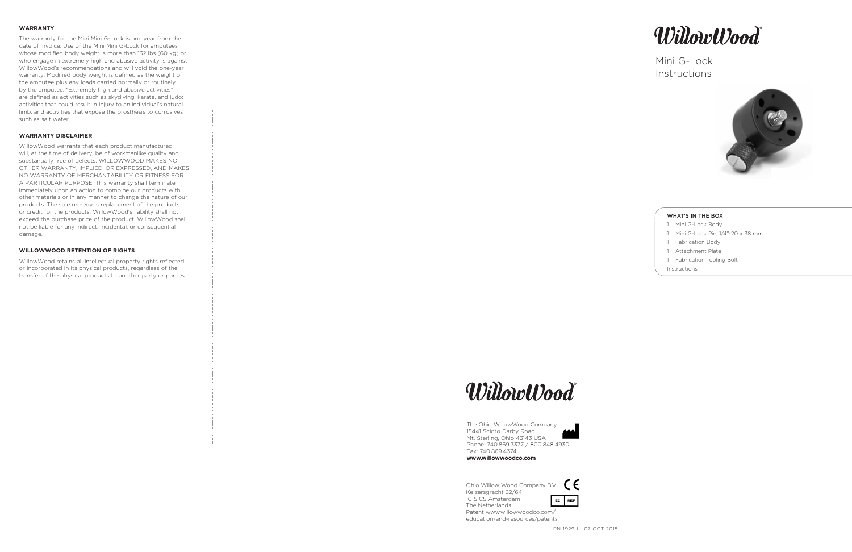#### **WARRANTY**

The warranty for the Mini Mini G-Lock is one year from the date of invoice. Use of the Mini Mini G-Lock for amputees whose modified body weight is more than 132 lbs (60 kg) or who engage in extremely high and abusive activity is against WillowWood's recommendations and will void the one-year warranty. Modified body weight is defined as the weight of the amputee plus any loads carried normally or routinely by the amputee. "Extremely high and abusive activities" are defined as activities such as skydiving, karate, and judo; activities that could result in injury to an individual's natural limb; and activities that expose the prosthesis to corrosives such as salt water.

# **WARRANTY DISCLAIMER**

Ohio Willow Wood Company B.V  $\epsilon$ Keizersgracht 62/64 1015 CS Amsterdam EC REP The Netherlands Patent www.willowwoodco.com/ education-and-resources/patents

- 1 Mini G-Lock Body
- 1 Mini G-Lock Pin, 1/4"-20 x 38 mm
- 1 Fabrication Body
- 1 Attachment Plate
- 1 Fabrication Tooling Bolt

WillowWood warrants that each product manufactured will, at the time of delivery, be of workmanlike quality and substantially free of defects. WILLOWWOOD MAKES NO OTHER WARRANTY, IMPLIED, OR EXPRESSED, AND MAKES NO WARRANTY OF MERCHANTABILITY OR FITNESS FOR A PARTICULAR PURPOSE. This warranty shall terminate immediately upon an action to combine our products with other materials or in any manner to change the nature of our products. The sole remedy is replacement of the products or credit for the products. WillowWood's liability shall not exceed the purchase price of the product. WillowWood shall not be liable for any indirect, incidental, or consequential damage.

#### **WILLOWWOOD RETENTION OF RIGHTS**

WillowWood retains all intellectual property rights reflected or incorporated in its physical products, regardless of the transfer of the physical products to another party or parties.







# Mini G-Lock **Instructions**



The Ohio WillowWood Company 15441 Scioto Darby Road Mt. Sterling, Ohio 43143 USA Phone: 740.869.3377 / 800.848.4930 Fax: 740.869.4374

**www.willowwoodco.com**

#### WHAT'S IN THE BOX

Instructions